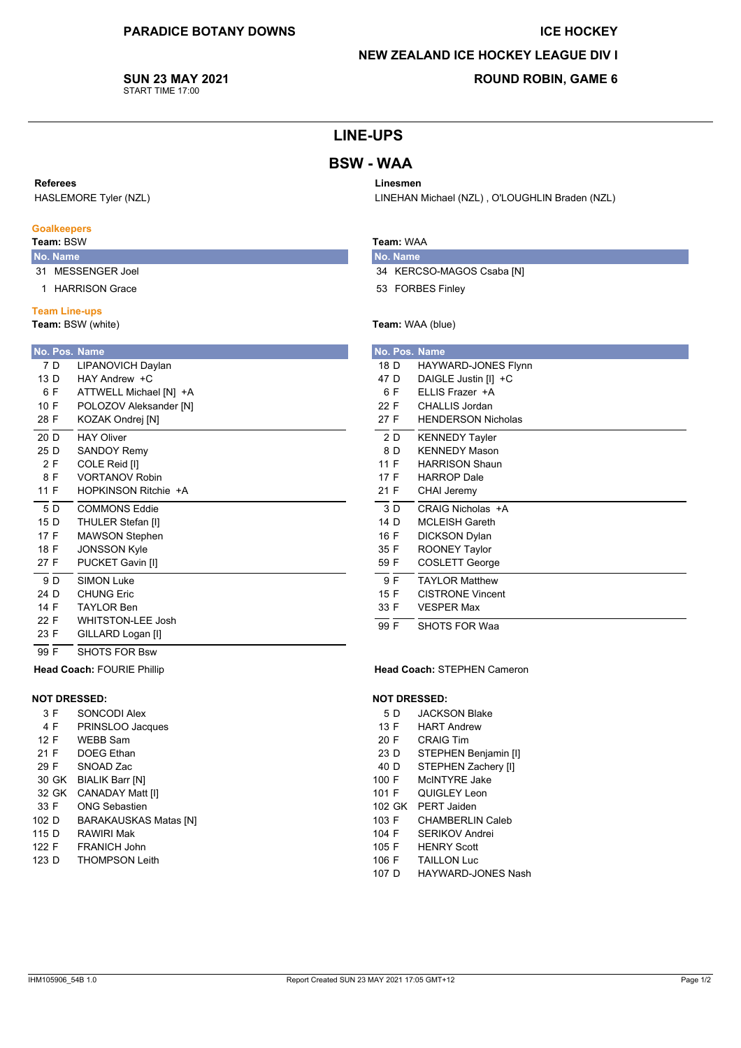#### **ICE HOCKEY**

## **NEW ZEALAND ICE HOCKEY LEAGUE DIV I**

LINEHAN Michael (NZL), O'LOUGHLIN Braden (NZL)

SUN 23 MAY 2021 START TIME 17:00

## **ROUND ROBIN, GAME 6**

# **LINE-UPS**

# **BSW - WAA**

## Referees

HASLEMORE Tyler (NZL)

## **Goalkeepers**

## Team: BSW

- No. Name
- 31 MESSENGER Joel
- 1 HARRISON Grace

Head Coach: FOURIE Phillip

SONCODI Alex

**WEBB Sam** 

**DOEG** Ethan

SNOAD Zac

30 GK BIALIK Barr [N]

PRINSLOO Jacques

**CANADAY Matt [I]** 

**BARAKAUSKAS Matas [N]** 

**ONG Sebastien** 

**RAWIRI Mak** 

FRANICH John

**THOMPSON Leith** 

**NOT DRESSED:** 

 $3 F$ 

4 F

 $12 F$ 

 $21 F$ 

29 F

33 F

102 D

115 D

122 F

123 D

32 GK

## **Team Line-ups**

Team: BSW (white)

| No. Pos. Name |                             |  |  |  |  |
|---------------|-----------------------------|--|--|--|--|
| 7 D           | LIPANOVICH Daylan           |  |  |  |  |
| 13 D          | $HAY$ Andrew $+C$           |  |  |  |  |
| 6 F           | ATTWELL Michael [N] +A      |  |  |  |  |
| 10 F          | POLOZOV Aleksander [N]      |  |  |  |  |
| 28 F          | KOZAK Ondrej [N]            |  |  |  |  |
| 20 D          | <b>HAY Oliver</b>           |  |  |  |  |
| 25 D          | <b>SANDOY Remy</b>          |  |  |  |  |
| 2 F           | COLE Reid [I]               |  |  |  |  |
| 8 F           | <b>VORTANOV Robin</b>       |  |  |  |  |
| 11 F          | <b>HOPKINSON Ritchie +A</b> |  |  |  |  |
| 5 D           | <b>COMMONS Eddie</b>        |  |  |  |  |
| 15 D          | THULER Stefan [I]           |  |  |  |  |
| 17 F          | <b>MAWSON Stephen</b>       |  |  |  |  |
| 18 F          | <b>JONSSON Kyle</b>         |  |  |  |  |
| 27 F          | PUCKET Gavin [I]            |  |  |  |  |
| 9 D           | <b>SIMON Luke</b>           |  |  |  |  |
| 24 D          | CHUNG Fric                  |  |  |  |  |
| 14 F          | <b>TAYLOR Ben</b>           |  |  |  |  |
| 22 F          | <b>WHITSTON-LEE Josh</b>    |  |  |  |  |
| 23 F          | GILLARD Logan [I]           |  |  |  |  |
| 99 F          | SHOTS FOR Bsw               |  |  |  |  |

# Team: WAA

Linesmen

No. Name

34 KERCSO-MAGOS Csaba [N]

53 FORBES Finley

## Team: WAA (blue)

|      |     | <b>No. Pos. Name</b>      |
|------|-----|---------------------------|
| 18 D |     | HAYWARD-JONES Flynn       |
| 47 D |     | DAIGLE Justin [I] +C      |
|      | 6 F | ELLIS Frazer +A           |
| 22 F |     | CHALLIS Jordan            |
| 27 F |     | <b>HENDERSON Nicholas</b> |
|      | 2 D | <b>KENNEDY Tayler</b>     |
|      | 8 D | <b>KENNEDY Mason</b>      |
| 11 F |     | <b>HARRISON Shaun</b>     |
| 17 F |     | <b>HARROP Dale</b>        |
| 21 F |     | <b>CHAI Jeremy</b>        |
|      | 3 D | CRAIG Nicholas +A         |
| 14 D |     | <b>MCLEISH Gareth</b>     |
| 16 F |     | <b>DICKSON Dylan</b>      |
| 35 F |     | <b>ROONEY Taylor</b>      |
| 59 F |     | COSLETT George            |
|      | 9 F | <b>TAYLOR Matthew</b>     |
| 15F  |     | <b>CISTRONE Vincent</b>   |
| 33 F |     | <b>VESPER Max</b>         |
| 99 F |     | <b>SHOTS FOR Waa</b>      |

#### Head Coach: STEPHEN Cameron

#### **NOT DRESSED:**

- 5 D **JACKSON Blake**
- 13 F **HART Andrew**
- 20 F **CRAIG Tim**
- STEPHEN Benjamin [I]  $23D$
- STEPHEN Zachery [I]  $40D$
- $100 F$ McINTYRE Jake
- 101 F QUIGLEY Leon
- 102 GK PERT Jaiden
- 103 F CHAMBERLIN Caleb
- SERIKOV Andrei 104 F **HENRY Scott**
- $105 F$ 106 F **TAILLON Luc**
- 107 D HAYWARD-JONES Nash